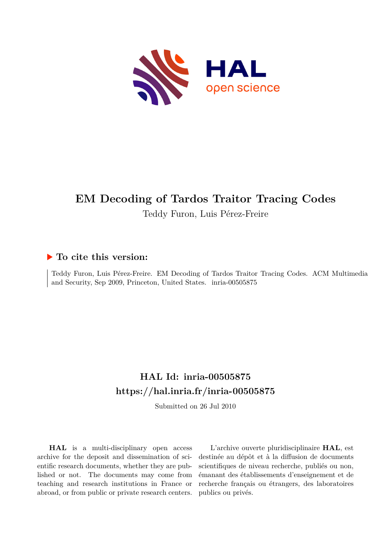

# **EM Decoding of Tardos Traitor Tracing Codes**

Teddy Furon, Luis Pérez-Freire

## **To cite this version:**

Teddy Furon, Luis Pérez-Freire. EM Decoding of Tardos Traitor Tracing Codes. ACM Multimedia and Security, Sep 2009, Princeton, United States. inria-00505875

## **HAL Id: inria-00505875 <https://hal.inria.fr/inria-00505875>**

Submitted on 26 Jul 2010

**HAL** is a multi-disciplinary open access archive for the deposit and dissemination of scientific research documents, whether they are published or not. The documents may come from teaching and research institutions in France or abroad, or from public or private research centers.

L'archive ouverte pluridisciplinaire **HAL**, est destinée au dépôt et à la diffusion de documents scientifiques de niveau recherche, publiés ou non, émanant des établissements d'enseignement et de recherche français ou étrangers, des laboratoires publics ou privés.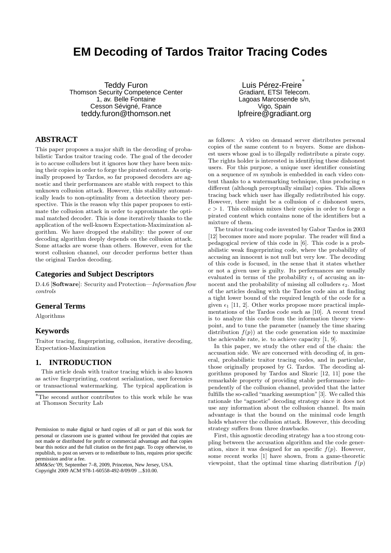## **EM Decoding of Tardos Traitor Tracing Codes**

Teddy Furon Thomson Security Competence Center 1, av. Belle Fontaine Cesson Sévigné, France teddy.furon@thomson.net

## **ABSTRACT**

This paper proposes a major shift in the decoding of probabilistic Tardos traitor tracing code. The goal of the decoder is to accuse colluders but it ignores how they have been mixing their copies in order to forge the pirated content. As originally proposed by Tardos, so far proposed decoders are agnostic and their performances are stable with respect to this unknown collusion attack. However, this stability automatically leads to non-optimality from a detection theory perspective. This is the reason why this paper proposes to estimate the collusion attack in order to approximate the optimal matched decoder. This is done iteratively thanks to the application of the well-known Expectation-Maximization algorithm. We have dropped the stability: the power of our decoding algorithm deeply depends on the collusion attack. Some attacks are worse than others. However, even for the worst collusion channel, our decoder performs better than the original Tardos decoding.

#### **Categories and Subject Descriptors**

D.4.6 [Software]: Security and Protection—Information flow controls

## **General Terms**

Algorithms

#### **Keywords**

Traitor tracing, fingerprinting, collusion, iterative decoding, Expectation-Maximization

## **1. INTRODUCTION**

This article deals with traitor tracing which is also known as active fingerprinting, content serialization, user forensics or transactional watermarking. The typical application is

*MM&Sec'09,* September 7–8, 2009, Princeton, New Jersey, USA. Copyright 2009 ACM 978-1-60558-492-8/09/09 ...\$10.00.

Luis Pérez-Freire ∗ Gradiant, ETSI Telecom. Lagoas Marcosende s/n, Vigo, Spain lpfreire@gradiant.org

as follows: A video on demand server distributes personal copies of the same content to  $n$  buyers. Some are dishonest users whose goal is to illegally redistribute a pirate copy. The rights holder is interested in identifying these dishonest users. For this purpose, a unique user identifier consisting on a sequence of m symbols is embedded in each video content thanks to a watermarking technique, thus producing  $n$ different (although perceptually similar) copies. This allows tracing back which user has illegally redistributed his copy. However, there might be a collusion of  $c$  dishonest users,  $c > 1$ . This collusion mixes their copies in order to forge a pirated content which contains none of the identifiers but a mixture of them.

The traitor tracing code invented by Gabor Tardos in 2003 [12] becomes more and more popular. The reader will find a pedagogical review of this code in [6]. This code is a probabilistic weak fingerprinting code, where the probability of accusing an innocent is not null but very low. The decoding of this code is focused, in the sense that it states whether or not a given user is guilty. Its performances are usually evaluated in terms of the probability  $\epsilon_1$  of accusing an innocent and the probability of missing all colluders  $\epsilon_2$ . Most of the articles dealing with the Tardos code aim at finding a tight lower bound of the required length of the code for a given  $\epsilon_1$  [11, 2]. Other works propose more practical implementations of the Tardos code such as [10]. A recent trend is to analyze this code from the information theory viewpoint, and to tune the parameter (namely the time sharing distribution  $f(p)$  at the code generation side to maximize the achievable rate, ie. to achieve capacity [1, 9].

In this paper, we study the other end of the chain: the accusation side. We are concerned with decoding of, in general, probabilistic traitor tracing codes, and in particular, those originally proposed by G. Tardos. The decoding algorithms proposed by Tardos and Skoric [12, 11] pose the remarkable property of providing stable performance independently of the collusion channel, provided that the latter fulfills the so-called "marking assumption"[3]. We called this rationale the "agnostic" decoding strategy since it does not use any information about the collusion channel. Its main advantage is that the bound on the minimal code length holds whatever the collusion attack. However, this decoding strategy suffers from three drawbacks.

First, this agnostic decoding strategy has a too strong coupling between the accusation algorithm and the code generation, since it was designed for an specific  $f(p)$ . However, some recent works [1] have shown, from a game-theoretic viewpoint, that the optimal time sharing distribution  $f(p)$ 

<sup>∗</sup>The second author contributes to this work while he was at Thomson Security Lab

Permission to make digital or hard copies of all or part of this work for personal or classroom use is granted without fee provided that copies are not made or distributed for profit or commercial advantage and that copies bear this notice and the full citation on the first page. To copy otherwise, to republish, to post on servers or to redistribute to lists, requires prior specific permission and/or a fee.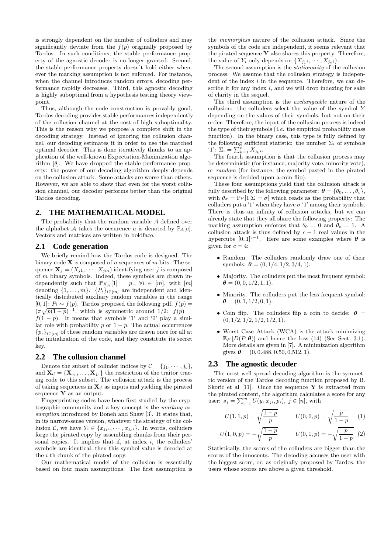is strongly dependent on the number of colluders and may significantly deviate from the  $f(p)$  originally proposed by Tardos. In such conditions, the stable performance property of the agnostic decoder is no longer granted. Second, the stable performance property doesn't hold either whenever the marking assumption is not enforced. For instance, when the channel introduces random errors, decoding performance rapidly decreases. Third, this agnostic decoding is highly suboptimal from a hypothesis testing theory viewpoint.

Thus, although the code construction is provably good, Tardos decoding provides stable performances independently of the collusion channel at the cost of high suboptimality. This is the reason why we propose a complete shift in the decoding strategy. Instead of ignoring the collusion channel, our decoding estimates it in order to use the matched optimal decoder. This is done iteratively thanks to an application of the well-known Expectation-Maximization algorithm [8]. We have dropped the stable performance property: the power of our decoding algorithm deeply depends on the collusion attack. Some attacks are worse than others. However, we are able to show that even for the worst collusion channel, our decoder performs better than the original Tardos decoding.

## **2. THE MATHEMATICAL MODEL**

The probability that the random variable A defined over the alphabet A takes the occurence a is denoted by  $\mathbb{P}_A[a]$ . Vectors and matrices are written in boldface.

### **2.1 Code generation**

We briefly remind how the Tardos code is designed. The binary code  $X$  is composed of n sequences of m bits. The sequence  $\mathbf{X}_j = (X_{j1}, \cdots, X_{jm})$  identifying user j is composed of m binary symbols. Indeed, these symbols are drawn independently such that  $\mathbb{P}_{X_{ji}}[1] = p_i, \forall i \in [m],$  with  $[m]$ denoting  $\{1, \ldots, m\}$ .  $\{P_i\}_{i \in [m]}$  are independent and identically distributed auxiliary random variables in the range [0, 1]:  $P_i \sim f(p)$ . Tardos proposed the following pdf,  $f(p)$  =  $(\pi \sqrt{p(1-p)})^{-1}$ , which is symmetric around  $1/2$ :  $f(p) =$  $f(1-p)$ . It means that symbols '1' and '0' play a similar role with probability  $p$  or  $1 - p$ . The actual occurrences  ${p_i}_{i \in [m]}$  of these random variables are drawn once for all at the initialization of the code, and they constitute its secret key.

#### **2.2 The collusion channel**

Denote the subset of colluder indices by  $\mathcal{C} = \{j_1, \dots, j_c\},\$ and  $\mathbf{X}_{\mathcal{C}} = \{ \mathbf{X}_{j_1}, \dots, \mathbf{X}_{j_c} \}$  the restriction of the traitor tracing code to this subset. The collusion attack is the process of taking sequences in  $X_c$  as inputs and yielding the pirated sequence  $\mathbf Y$  as an output.

Fingerprinting codes have been first studied by the cryptographic community and a key-concept is the marking assumption introduced by Boneh and Shaw [3]. It states that, in its narrow-sense version, whatever the strategy of the collusion C, we have  $Y_i \in \{x_{j_1i}, \dots, x_{j_ci}\}.$  In words, colluders forge the pirated copy by assembling chunks from their personal copies. It implies that if, at index  $i$ , the colluders' symbols are identical, then this symbol value is decoded at the i-th chunk of the pirated copy.

Our mathematical model of the collusion is essentially based on four main assumptions. The first assumption is

the memoryless nature of the collusion attack. Since the symbols of the code are independent, it seems relevant that the pirated sequence  $\bf{Y}$  also shares this property. Therefore, the value of  $Y_i$  only depends on  $\{X_{j_1i}, \cdots, X_{j_c i}\}.$ 

The second assumption is the stationarity of the collusion process. We assume that the collusion strategy is independent of the index  $i$  in the sequence. Therefore, we can describe it for any index  $i$ , and we will drop indexing for sake of clarity in the sequel.

The third assumption is the exchangeable nature of the collusion: the colluders select the value of the symbol Y depending on the values of their symbols, but not on their order. Therefore, the input of the collusion process is indeed the type of their symbols  $(i.e.$  the empirical probability mass function). In the binary case, this type is fully defined by the following sufficient statistic: the number  $\Sigma_i$  of symbols '1':  $\Sigma_i = \sum_{k=1}^{c} X_{j_k i}$ .

The fourth assumption is that the collusion process may be deterministic (for instance, majority vote, minority vote), or random (for instance, the symbol pasted in the pirated sequence is decided upon a coin flip).

These four assumptions yield that the collusion attack is fully described by the following parameter:  $\theta = {\theta_0, \ldots, \theta_c}$ , with  $\theta_{\sigma} = \mathbb{P}_{Y} [1 | \Sigma = \sigma]$  which reads as the probability that colluders put a '1' when they have  $\sigma$  '1' among their symbols. There is thus an infinity of collusion attacks, but we can already state that they all share the following property: The marking assumption enforces that  $\theta_0 = 0$  and  $\theta_c = 1$ . A collusion attack is thus defined by  $c - 1$  real values in the hypercube  $[0,1]^{c-1}$ . Here are some examples where  $\theta$  is given for  $c = 4$ :

- Random. The colluders randomly draw one of their symbols:  $\theta = (0, 1/4, 1/2, 3/4, 1)$ .
- Majority. The colluders put the most frequent symbol:  $\theta = (0, 0, 1/2, 1, 1).$
- Minority. The colluders put the less frequent symbol:  $\theta = (0, 1, 1/2, 0, 1).$
- Coin flip. The colluders flip a coin to decide:  $\theta =$  $(0, 1/2, 1/2, 1/2, 1/2, 1).$
- Worst Case Attack (WCA) is the attack minimizing  $\mathbb{E}_P [D(P, \theta)]$  and hence the loss (14) (See Sect. 3.1). More details are given in [7]. A minimization algorithm gives  $\theta = (0, 0.488, 0.50, 0.512, 1)$ .

#### **2.3 The agnostic decoder**

The most well-spread decoding algorithm is the symmetric version of the Tardos decoding function proposed by B. Skoric et al  $[11]$ . Once the sequence Y is extracted from the pirated content, the algorithm calculates a score for any user:  $s_j = \sum_{i=1}^m U(y_i, x_{ji}, p_i), j \in [n]$ , with

$$
U(1,1,p) = \sqrt{\frac{1-p}{p}} \qquad U(0,0,p) = \sqrt{\frac{p}{1-p}} \qquad (1)
$$

$$
U(1,0,p) = -\sqrt{\frac{1-p}{p}} \qquad U(0,1,p) = -\sqrt{\frac{p}{1-p}} \quad (2)
$$

Statistically, the scores of the colluders are bigger than the scores of the innocents. The decoding accuses the user with the biggest score, or, as originally proposed by Tardos, the users whose scores are above a given threshold.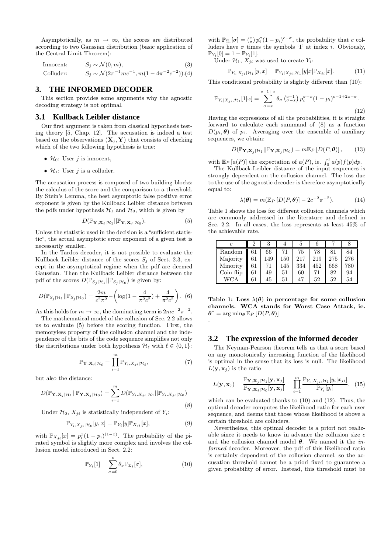Asymptotically, as  $m \to \infty$ , the scores are distributed according to two Gaussian distribution (basic application of the Central Limit Theorem):

Innocent:  $S_j \sim \mathcal{N}(0, m)$ , (3) Colluder:  $S_j \sim \mathcal{N}(2\pi^{-1}mc^{-1}, m(1-4\pi^{-2}c^{-2})).(4)$ 

#### **3. THE INFORMED DECODER**

This section provides some arguments why the agnostic decoding strategy is not optimal.

### **3.1 Kullback Leibler distance**

Our first argument is taken from classical hypothesis testing theory [5, Chap. 12]. The accusation is indeed a test based on the observations  $(X_j, Y)$  that consists of checking which of the two following hypothesis is true:

- $\mathcal{H}_0$ : User *j* is innocent,
- $\mathcal{H}_1$ : User *i* is a colluder.

The accusation process is composed of two building blocks: the calculus of the score and the comparison to a threshold. By Stein's Lemma, the best asymptotic false positive error exponent is given by the Kullback Leibler distance between the pdfs under hypothesis  $\mathcal{H}_1$  and  $\mathcal{H}_0$ , which is given by

$$
D(\mathbb{P}_{\mathbf{Y}, \mathbf{X}_j | \mathcal{H}_1} || \mathbb{P}_{\mathbf{Y}, \mathbf{X}_j | \mathcal{H}_0}).
$$
\n(5)

Unless the statistic used in the decision is a "sufficient statistic", the actual asymptotic error exponent of a given test is necessarily smaller.

In the Tardos decoder, it is not possible to evaluate the Kullback Leibler distance of the scores  $S_i$  of Sect. 2.3, except in the asymptotical regime when the pdf are deemed Gaussian. Then the Kullback Leibler distance between the pdf of the scores  $D(\mathbb{P}_{S_j | \mathcal{H}_1} || \mathbb{P}_{S_j | \mathcal{H}_0})$  is given by:

$$
D(\mathbb{P}_{S_j|\mathcal{H}_1}||\mathbb{P}_{S_j|\mathcal{H}_0}) = \frac{2m}{c^2\pi^2} - \left(\log(1 - \frac{4}{\pi^2 c^2}) + \frac{4}{\pi^2 c^2}\right). (6)
$$

As this holds for  $m \to \infty$ , the dominating term is  $2mc^{-2}\pi^{-2}$ .

The mathematical model of the collusion of Sec. 2.2 allows us to evaluate (5) before the scoring function. First, the memoryless property of the collusion channel and the independence of the bits of the code sequence simplifies not only the distributions under both hypothesis  $\mathcal{H}_{\ell}$  with  $\ell \in \{0,1\}$ :

$$
\mathbb{P}_{\mathbf{Y}, \mathbf{X}_j | \mathcal{H}_\ell} = \prod_{i=1}^m \mathbb{P}_{Y_i, X_{ji} | \mathcal{H}_\ell},\tag{7}
$$

but also the distance:

$$
D(\mathbb{P}_{\mathbf{Y},\mathbf{X}_j|\mathcal{H}_1}||\mathbb{P}_{\mathbf{Y},\mathbf{X}_j|\mathcal{H}_0}) = \sum_{i=1}^m D(\mathbb{P}_{Y_i,X_{ji}|\mathcal{H}_1}||\mathbb{P}_{Y_i,X_{ji}|\mathcal{H}_0})
$$
\n(8)

Under  $\mathcal{H}_0$ ,  $X_{ji}$  is statistically independent of  $Y_i$ :

$$
\mathbb{P}_{Y_i, X_{ji} | \mathcal{H}_0}[y, x] = \mathbb{P}_{Y_i}[y] \mathbb{P}_{X_{ji}}[x],
$$
\n(9)

with  $\mathbb{P}_{X_{ji}}[x] = p_i^x (1-p_i)^{(1-x)}$ . The probability of the pirated symbol is slightly more complex and involves the collusion model introduced in Sect. 2.2:

$$
\mathbb{P}_{Y_i}[1] = \sum_{\sigma=0}^{c} \theta_{\sigma} \mathbb{P}_{\Sigma_i}[\sigma],\tag{10}
$$

with  $\mathbb{P}_{\Sigma_i}[\sigma] = \binom{c}{\sigma} p_i^{\sigma} (1-p_i)^{c-\sigma}$ , the probability that c colluders have  $\sigma$  times the symbols '1' at index i. Obviously,  $\mathbb{P}_{Y_i}[0] = 1 - \mathbb{P}_{Y_i}[1].$ 

Under  $\mathcal{H}_1$ ,  $X_{ji}$  was used to create  $Y_i$ :

$$
\mathbb{P}_{Y_i, X_{ji} | \mathcal{H}_1}[y, x] = \mathbb{P}_{Y_i | X_{ji}, \mathcal{H}_1}[y|x] \mathbb{P}_{X_{ji}}[x]. \tag{11}
$$

This conditional probability is slightly different than (10):

$$
\mathbb{P}_{Y_i|X_{ji},\mathcal{H}_1}[1|x] = \sum_{\sigma=x}^{c-1+x} \theta_{\sigma} \begin{pmatrix} c-1 \\ \sigma-x \end{pmatrix} p_i^{\sigma-x} (1-p_i)^{c-1+2x-\sigma}.
$$
\n(12)

Having the expressions of all the probabilities, it is straight forward to calculate each summand of (8) as a function  $D(p_i, \theta)$  of  $p_i$ . Averaging over the ensemble of auxiliary sequences, we obtain:

$$
D(\mathbb{P}_{\mathbf{Y}, \mathbf{X}_j | \mathcal{H}_1} || \mathbb{P}_{\mathbf{Y}, \mathbf{X}_j | \mathcal{H}_0}) = m \mathbb{E}_P [D(P, \theta)], \qquad (13)
$$

with  $\mathbb{E}_P [a(P)]$  the expectation of  $a(P)$ , ie.  $\int_0^1 a(p)f(p)dp$ .

The Kullback-Leibler distance of the input sequences is strongly dependent on the collusion channel. The loss due to the use of the agnostic decoder is therefore asymptotically equal to:

$$
\lambda(\boldsymbol{\theta}) = m(\mathbb{E}_P \left[ D(P, \boldsymbol{\theta}) \right] - 2c^{-2} \pi^{-2}). \tag{14}
$$

Table 1 shows the loss for different collusion channels which are commonly addressed in the literature and defined in Sec. 2.2. In all cases, the loss represents at least 45% of the achievable rate.

|           | 9  |     |     |     |     |     |     |
|-----------|----|-----|-----|-----|-----|-----|-----|
| Random    | 61 | 66  | 71  | 75  | 78  | 81  | 84  |
| Majority  | 61 | 149 | 150 | 217 | 219 | 275 | 276 |
| Minority  | 61 | 71  | 145 | 334 | 452 | 668 | 780 |
| Coin flip | 61 | 49  | 51  | 60  | 71  | 82  | 94  |
| WCA       | 61 | 45  | 51  | 47  | 52  | 52  | 54  |

Table 1: Loss  $\lambda(\theta)$  in percentage for some collusion channels. WCA stands for Worst Case Attack, ie.  $\boldsymbol{\theta}^* = \arg \min_{\boldsymbol{\theta}} \mathbb{E}_P [D(P, \boldsymbol{\theta})]$ 

#### **3.2 The expression of the informed decoder**

.

The Neyman-Pearson theorem tells us that a score based on any monotonically increasing function of the likelihood is optimal in the sense that its loss is null. The likelihood  $L(\mathbf{y}, \mathbf{x}_i)$  is the ratio

$$
L(\mathbf{y}, \mathbf{x}_j) = \frac{\mathbb{P}_{\mathbf{Y}, \mathbf{X}_j | \mathcal{H}_1}[\mathbf{y}, \mathbf{x}_j]}{\mathbb{P}_{\mathbf{Y}, \mathbf{X}_j | \mathcal{H}_0}[\mathbf{y}, \mathbf{x}_j]} = \prod_{i=1}^m \frac{\mathbb{P}_{Y_i | X_{ji}, \mathcal{H}_1}[y_i | x_{ji}]}{\mathbb{P}_{Y_i}[y_i]}, \quad (15)
$$

which can be evaluated thanks to (10) and (12). Thus, the optimal decoder computes the likelihood ratio for each user sequence, and deems that those whose likelihood is above a certain threshold are colluders.

Nevertheless, this optimal decoder is a priori not realizable since it needs to know in advance the collusion size  $c$ and the collusion channel model  $\theta$ . We named it the informed decoder. Moreover, the pdf of this likelihood ratio is certainly dependent of the collusion channel, so the accusation threshold cannot be a priori fixed to guarantee a given probability of error. Instead, this threshold must be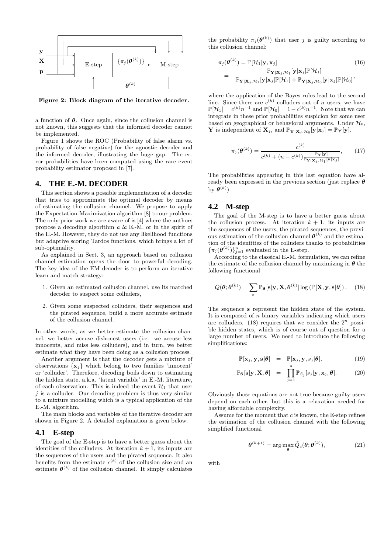

Figure 2: Block diagram of the iterative decoder.

a function of  $\theta$ . Once again, since the collusion channel is not known, this suggests that the informed decoder cannot be implemented.

Figure 1 shows the ROC (Probability of false alarm vs. probability of false negative) for the agnostic decoder and the informed decoder, illustrating the huge gap. The error probabilities have been computed using the rare event probability estimator proposed in [7].

#### **4. THE E.-M. DECODER**

This section shows a possible implementation of a decoder that tries to approximate the optimal decoder by means of estimating the collusion channel. We propose to apply the Expectation-Maximization algorithm [8] to our problem. The only prior work we are aware of is [4] where the authors propose a decoding algorithm  $a \, la \, E.-M$ , or in the spirit of the E.-M. However, they do not use any likelihood functions but adaptive scoring Tardos functions, which brings a lot of sub-optimality.

As explained in Sect. 3, an approach based on collusion channel estimation opens the door to powerful decoding. The key idea of the EM decoder is to perform an iterative learn and match strategy:

- 1. Given an estimated collusion channel, use its matched decoder to suspect some colluders,
- 2. Given some suspected colluders, their sequences and the pirated sequence, build a more accurate estimate of the collusion channel.

In other words, as we better estimate the collusion channel, we better accuse dishonest users (i.e. we accuse less innocents, and miss less colluders), and in turn, we better estimate what they have been doing as a collusion process.

Another argument is that the decoder gets a mixture of observations  $\{x_j\}$  which belong to two families 'innocent' or 'colluder'. Therefore, decoding boils down to estimating the hidden state, a.k.a. 'latent variable' in E.-M. literature, of each observation. This is indeed the event  $\mathcal{H}_1$  that user  $j$  is a colluder. Our decoding problem is thus very similar to a mixture modelling which is a typical application of the E.-M. algorithm.

The main blocks and variables of the iterative decoder are shown in Figure 2. A detailed explanation is given below.

#### **4.1 E-step**

The goal of the E-step is to have a better guess about the identities of the colluders. At iteration  $k + 1$ , its inputs are the sequences of the users and the pirated sequence. It also benefits from the estimate  $c^{(k)}$  of the collusion size and an estimate  $\boldsymbol{\theta}^{(k)}$  of the collusion channel. It simply calculates

the probability  $\pi_j(\boldsymbol{\theta}^{(k)})$  that user j is guilty according to this collusion channel:

$$
\pi_j(\boldsymbol{\theta}^{(k)}) = \mathbb{P}[\mathcal{H}_1 | \mathbf{y}, \mathbf{x}_j] \qquad (16)
$$
  
= 
$$
\frac{\mathbb{P}_{\mathbf{Y} | \mathbf{X}_j, \mathcal{H}_1}[\mathbf{y} | \mathbf{x}_j] \mathbb{P}[\mathcal{H}_1]}{\mathbb{P}_{\mathbf{Y} | \mathbf{X}_j, \mathcal{H}_1}[\mathbf{y} | \mathbf{x}_j] \mathbb{P}[\mathcal{H}_1] + \mathbb{P}_{\mathbf{Y} | \mathbf{X}_j, \mathcal{H}_0}[\mathbf{y} | \mathbf{x}_j] \mathbb{P}[\mathcal{H}_0]},
$$

where the application of the Bayes rules lead to the second line. Since there are  $c^{(k)}$  colluders out of n users, we have  $\mathbb{P}[\mathcal{H}_1] = c^{(k)}n^{-1}$  and  $\mathbb{P}[\mathcal{H}_0] = 1 - c^{(k)}n^{-1}$ . Note that we can integrate in these prior probabilities suspicion for some user based on geographical or behavioral arguments. Under  $\mathcal{H}_0$ , **Y** is independent of  $\mathbf{X}_j$ , and  $\mathbb{P}_{\mathbf{Y}|\mathbf{X}_j, \mathcal{H}_0}[\mathbf{y}|\mathbf{x}_j] = \mathbb{P}_{\mathbf{Y}}[\mathbf{y}].$ 

$$
\pi_j(\boldsymbol{\theta}^{(k)}) = \frac{c^{(k)}}{c^{(k)} + (n - c^{(k)}) \frac{\mathbb{P}_{\mathbf{Y}}[\mathbf{y}]}{\mathbb{P}_{\mathbf{Y}|\mathbf{X}_j, \mathcal{H}_1}[\mathbf{y}|\mathbf{x}_j]}},\qquad(17)
$$

The probabilities appearing in this last equation have already been expressed in the previous section (just replace  $\theta$ by  $\boldsymbol{\theta}^{(k)}$ ).

#### **4.2 M-step**

The goal of the M-step is to have a better guess about the collusion process. At iteration  $k + 1$ , its inputs are the sequences of the users, the pirated sequences, the previous estimation of the collusion channel  $\theta^{(\bar{k})}$  and the estimation of the identities of the colluders thanks to probabilities  ${\{\pi_j({\boldsymbol{\theta}}^{(k)})\}_{j=1}^n}$  evaluated in the E-step.

According to the classical E.-M. formulation, we can refine the estimate of the collusion channel by maximizing in  $\theta$  the following functional

$$
Q(\boldsymbol{\theta};\boldsymbol{\theta}^{(k)}) = \sum_{\mathbf{s}} \mathbb{P}_{\mathbf{S}}[\mathbf{s}|\mathbf{y}, \mathbf{X}, \boldsymbol{\theta}^{(k)}] \log (\mathbb{P}[\mathbf{X}, \mathbf{y}, \mathbf{s}|\boldsymbol{\theta}]). \quad (18)
$$

The sequence s represent the hidden state of the system. It is composed of  $n$  binary variables indicating which users are colluders. (18) requires that we consider the  $2^n$  possible hidden states, which is of course out of question for a large number of users. We need to introduce the following simplifications:

$$
\mathbb{P}[\mathbf{x}_j, \mathbf{y}, \mathbf{s} | \boldsymbol{\theta}] = \mathbb{P}[\mathbf{x}_j, \mathbf{y}, s_j | \boldsymbol{\theta}], \tag{19}
$$

$$
\mathbb{P}_{\mathbf{S}}[\mathbf{s}|\mathbf{y}, \mathbf{X}, \boldsymbol{\theta}] = \prod_{j=1}^{n} \mathbb{P}_{S_j}[s_j|\mathbf{y}, \mathbf{x}_j, \boldsymbol{\theta}]. \tag{20}
$$

Obviously those equations are not true because guilty users depend on each other, but this is a relaxation needed for having affordable complexity.

Assume for the moment that  $c$  is known, the E-step refines the estimation of the collusion channel with the following simplified functional

$$
\boldsymbol{\theta}^{(k+1)} = \arg \max_{\boldsymbol{\theta}} \tilde{Q}_c(\boldsymbol{\theta}; \boldsymbol{\theta}^{(k)}), \tag{21}
$$

with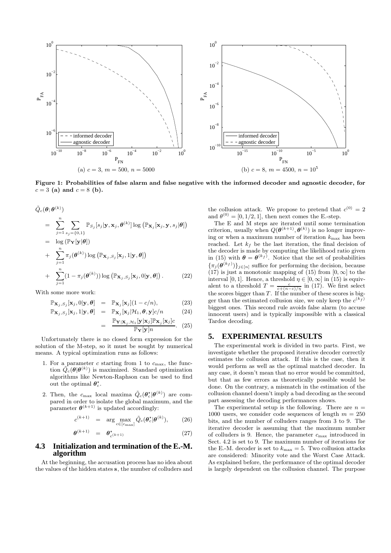

Figure 1: Probabilities of false alarm and false negative with the informed decoder and agnostic decoder, for  $c = 3$  (a) and  $c = 8$  (b).

$$
\tilde{Q}_c(\theta; \theta^{(k)})
$$
\n
$$
= \sum_{j=1}^n \sum_{s_j = \{0,1\}} \mathbb{P}_{S_j}[s_j | \mathbf{y}, \mathbf{x}_j, \theta^{(k)}] \log (\mathbb{P}_{\mathbf{X}_j}[\mathbf{x}_j, \mathbf{y}, s_j | \theta])
$$
\n
$$
= \log (\mathbb{P}_{\mathbf{Y}}[\mathbf{y} | \theta])
$$
\n
$$
+ \sum_{j=1}^n \pi_j(\theta^{(k)}) \log (\mathbb{P}_{\mathbf{X}_j, S_j}[\mathbf{x}_j, 1 | \mathbf{y}, \theta])
$$
\n
$$
+ \sum_{j=1}^n (1 - \pi_j(\theta^{(k)})) \log (\mathbb{P}_{\mathbf{X}_j, S_j}[\mathbf{x}_j, 0 | \mathbf{y}, \theta]).
$$
\n(22)

With some more work:

$$
\mathbb{P}_{\mathbf{X}_j, S_j}[\mathbf{x}_j, 0 | \mathbf{y}, \theta] = \mathbb{P}_{\mathbf{X}_j}[\mathbf{x}_j](1 - c/n),
$$
\n
$$
\mathbb{P}_{\mathbf{X}_j, S_j}[\mathbf{x}_j, 1 | \mathbf{y}, \theta] = \mathbb{P}_{\mathbf{X}_j}[\mathbf{x}_j] \mathcal{H}_1, \theta, \mathbf{y}] c/n
$$
\n(23)

$$
S_j[\mathbf{x}_j, 1 | \mathbf{y}, \boldsymbol{\theta}] = \mathbb{P}_{\mathbf{X}_j}[\mathbf{x}_j | \mathcal{H}_1, \boldsymbol{\theta}, \mathbf{y}] c/n \qquad (24)
$$

$$
= \frac{\mathbb{P}_{\mathbf{Y}|\mathbf{X}_j, \mathcal{H}_1}[\mathbf{y}|\mathbf{x}_j] \mathbb{P}_{\mathbf{X}_j}[\mathbf{x}_j]c}{\mathbb{P}_{\mathbf{Y}}[\mathbf{y}]n}.
$$
 (25)

Unfortunately there is no closed form expression for the solution of the M-step, so it must be sought by numerical means. A typical optimization runs as follows:

=

- 1. For a parameter  $c$  starting from 1 to  $c_{\text{max}}$ , the function  $\tilde{Q}_{c}(\theta|\theta^{(k)})$  is maximized. Standard optimization algorithms like Newton-Raphson can be used to find out the optimal  $\boldsymbol{\theta}_c^*$ .
- 2. Then, the  $c_{\text{max}}$  local maxima  $\tilde{Q}_{c}(\theta_c^{\star}|\theta^{(k)})$  are compared in order to isolate the global maximum, and the parameter  $\boldsymbol{\theta}^{(k+1)}$  is updated accordingly:

$$
c^{(k+1)} = \arg \max_{c \in [c_{\text{max}}]} \tilde{Q}_c(\boldsymbol{\theta}_c^{\star}|\boldsymbol{\theta}^{(k)}), \qquad (26)
$$

$$
\boldsymbol{\theta}^{(k+1)} = \boldsymbol{\theta}^{\star}_{c^{(k+1)}} \tag{27}
$$

#### **4.3 Initialization and termination of the E.-M. algorithm**

At the beginning, the accusation process has no idea about the values of the hidden states s, the number of colluders and the collusion attack. We propose to pretend that  $c^{(0)} = 2$ and  $\theta^{(0)} = [0, 1/2, 1]$ , then next comes the E.-step.

The E and M steps are iterated until some termination criterion, usually when  $Q(\boldsymbol{\theta}^{(k+1)}, \boldsymbol{\theta}^{(k)})$  is no longer improving or when a maximum number of iteration  $k_{\text{max}}$  has been reached. Let  $k_f$  be the last iteration, the final decision of the decoder is made by computing the likelihood ratio given in (15) with  $\boldsymbol{\theta} = \boldsymbol{\theta}^{(k_f)}$ . Notice that the set of probabilities  ${\{\pi_j({\theta}^{(k_f)})\}_{j \in [n]} }$  suffice for performing the decision, because (17) is just a monotonic mapping of (15) from [0,  $\infty$ ] to the interval [0, 1]. Hence, a threshold  $\eta \in [0, \infty]$  in (15) is equivalent to a threshold  $T = \frac{c}{c + (n-c)/\eta}$  in (17). We first select the scores bigger than T. If the number of these scores is bigger than the estimated collusion size, we only keep the  $c^{(k_f)}$ biggest ones. This second rule avoids false alarm (to accuse innocent users) and is typically impossible with a classical Tardos decoding.

## **5. EXPERIMENTAL RESULTS**

The experimental work is divided in two parts. First, we investigate whether the proposed iterative decoder correctly estimates the collusion attack. If this is the case, then it would perform as well as the optimal matched decoder. In any case, it doesn't mean that no error would be committed, but that as few errors as theoretically possible would be done. On the contrary, a mismatch in the estimation of the collusion channel doesn't imply a bad decoding as the second part assessing the decoding performances shows.

The experimental setup is the following. There are  $n =$ 1000 users, we consider code sequences of length  $m = 250$ bits, and the number of colluders ranges from 3 to 9. The iterative decoder is assuming that the maximum number of colluders is 9. Hence, the parameter  $c_{\text{max}}$  introduced in Sect. 4.2 is set to 9. The maximum number of iterations for the E.-M. decoder is set to  $k_{\text{max}} = 5$ . Two collusion attacks are considered: Minority vote and the Worst Case Attack. As explained before, the performance of the optimal decoder is largely dependent on the collusion channel. The purpose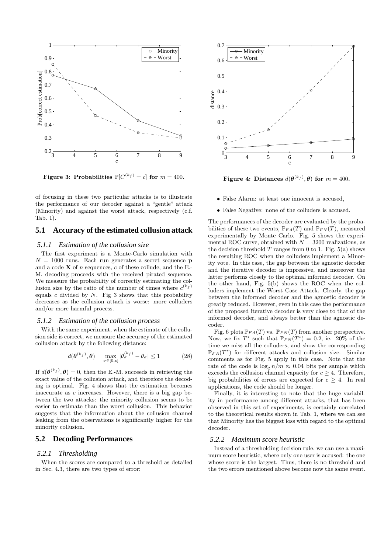

Figure 3: Probabilities  $\mathbb{P}[C^{(k_f)}] = c$  for  $m = 400$ .

of focusing in these two particular attacks is to illustrate the performance of our decoder against a "gentle" attack (Minority) and against the worst attack, respectively (c.f. Tab. 1).

#### **5.1 Accuracy of the estimated collusion attack**

#### *5.1.1 Estimation of the collusion size*

The first experiment is a Monte-Carlo simulation with  $N = 1000$  runs. Each run generates a secret sequence **p** and a code  $X$  of n sequences, c of these collude, and the E.-M. decoding proceeds with the received pirated sequence. We measure the probability of correctly estimating the collusion size by the ratio of the number of times where  $c^{(k_f)}$ equals  $c$  divided by  $N$ . Fig 3 shows that this probability decreases as the collusion attack is worse: more colluders and/or more harmful process.

#### *5.1.2 Estimation of the collusion process*

With the same experiment, when the estimate of the collusion side is correct, we measure the accuracy of the estimated collusion attack by the following distance:

$$
d(\boldsymbol{\theta}^{(k_f)}, \boldsymbol{\theta}) = \max_{\sigma \in [0, c]} |\theta_{\sigma}^{(k_f)} - \theta_{\sigma}| \le 1
$$
 (28)

If  $d(\boldsymbol{\theta}^{(k_f)}, \boldsymbol{\theta}) = 0$ , then the E.-M. succeeds in retrieving the exact value of the collusion attack, and therefore the decoding is optimal. Fig. 4 shows that the estimation becomes inaccurate as  $c$  increases. However, there is a big gap between the two attacks: the minority collusion seems to be easier to estimate than the worst collusion. This behavior suggests that the information about the collusion channel leaking from the observations is significantly higher for the minority collusion.

### **5.2 Decoding Performances**

#### *5.2.1 Thresholding*

When the scores are compared to a threshold as detailed in Sec. 4.3, there are two types of error:



Figure 4: Distances  $d(\theta^{(k_f)}, \theta)$  for  $m = 400$ .

- False Alarm: at least one innocent is accused,
- False Negative: none of the colluders is accused.

The performances of the decoder are evaluated by the probabilities of these two events,  $\mathbb{P}_{FA}(T)$  and  $\mathbb{P}_{FN}(T)$ , measured experimentally by Monte Carlo. Fig. 5 shows the experimental ROC curve, obtained with  $N = 3200$  realizations, as the decision threshold  $T$  ranges from 0 to 1. Fig.  $5(a)$  shows the resulting ROC when the colluders implement a Minority vote. In this case, the gap between the agnostic decoder and the iterative decoder is impressive, and moreover the latter performs closely to the optimal informed decoder. On the other hand, Fig. 5(b) shows the ROC when the colluders implement the Worst Case Attack. Clearly, the gap between the informed decoder and the agnostic decoder is greatly reduced. However, even in this case the performance of the proposed iterative decoder is very close to that of the informed decoder, and always better than the agnostic decoder.

Fig. 6 plots  $\mathbb{P}_{FA}(T)$  vs.  $\mathbb{P}_{FN}(T)$  from another perspective. Now, we fix  $T^*$  such that  $\mathbb{P}_{FN}(T^*) = 0.2$ , ie. 20% of the time we miss all the colluders, and show the corresponding  $\mathbb{P}_{FA}(T^*)$  for different attacks and collusion size. Similar comments as for Fig. 5 apply in this case. Note that the rate of the code is  $\log_2 n/m \approx 0.04$  bits per sample which exceeds the collusion channel capacity for  $c \geq 4$ . Therefore, big probabilities of errors are expected for  $c > 4$ . In real applications, the code should be longer.

Finally, it is interesting to note that the huge variability in performance among different attacks, that has been observed in this set of experiments, is certainly correlated to the theoretical results shown in Tab. 1, where we can see that Minority has the biggest loss with regard to the optimal decoder.

#### *5.2.2 Maximum score heuristic*

Instead of a thresholding decision rule, we can use a maximum score heuristic, where only one user is accused: the one whose score is the largest. Thus, there is no threshold and the two errors mentioned above become now the same event.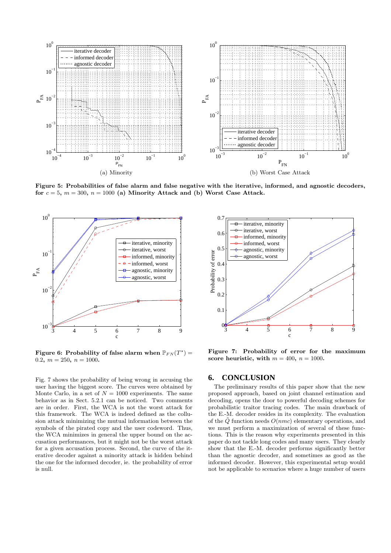

Figure 5: Probabilities of false alarm and false negative with the iterative, informed, and agnostic decoders, for  $c = 5$ ,  $m = 300$ ,  $n = 1000$  (a) Minority Attack and (b) Worst Case Attack.



Figure 6: Probability of false alarm when  $\mathbb{P}_{FN}(T^*) =$ 0.2,  $m = 250$ ,  $n = 1000$ .

Fig. 7 shows the probability of being wrong in accusing the user having the biggest score. The curves were obtained by Monte Carlo, in a set of  $N = 1000$  experiments. The same behavior as in Sect. 5.2.1 can be noticed. Two comments are in order. First, the WCA is not the worst attack for this framework. The WCA is indeed defined as the collusion attack minimizing the mutual information between the symbols of the pirated copy and the user codeword. Thus, the WCA minimizes in general the upper bound on the accusation performances, but it might not be the worst attack for a given accusation process. Second, the curve of the iterative decoder against a minority attack is hidden behind the one for the informed decoder, ie. the probability of error is null.



Figure 7: Probability of error for the maximum score heuristic, with  $m = 400$ ,  $n = 1000$ .

## **6. CONCLUSION**

The preliminary results of this paper show that the new proposed approach, based on joint channel estimation and decoding, opens the door to powerful decoding schemes for probabilistic traitor tracing codes. The main drawback of the E.-M. decoder resides in its complexity. The evaluation of the  $\tilde{Q}$  function needs  $O(nmc)$  elementary operations, and we must perform a maximization of several of these functions. This is the reason why experiments presented in this paper do not tackle long codes and many users. They clearly show that the E.-M. decoder performs significantly better than the agnostic decoder, and sometimes as good as the informed decoder. However, this experimental setup would not be applicable to scenarios where a huge number of users